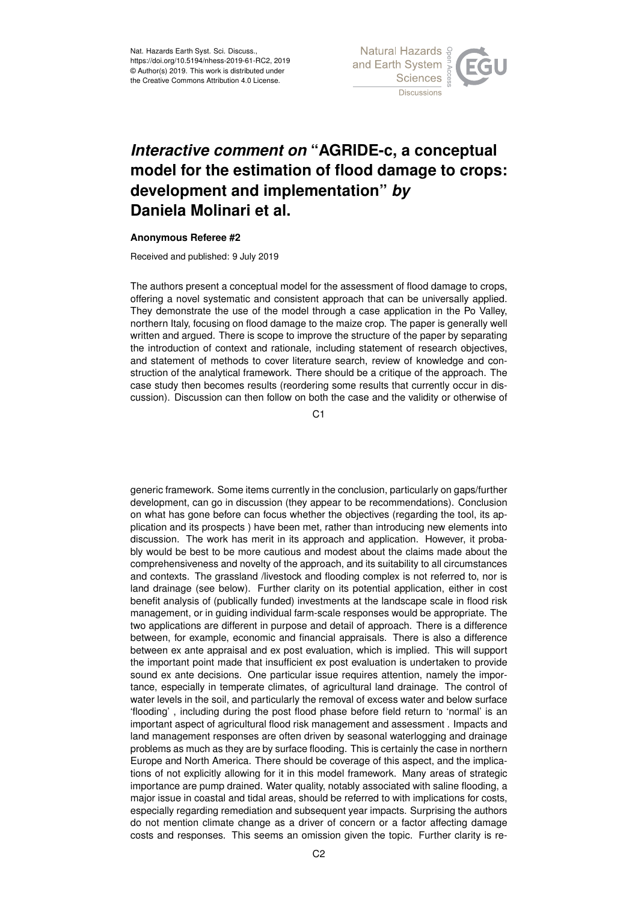

## *Interactive comment on* **"AGRIDE-c, a conceptual model for the estimation of flood damage to crops: development and implementation"** *by* **Daniela Molinari et al.**

## **Anonymous Referee #2**

Received and published: 9 July 2019

The authors present a conceptual model for the assessment of flood damage to crops, offering a novel systematic and consistent approach that can be universally applied. They demonstrate the use of the model through a case application in the Po Valley, northern Italy, focusing on flood damage to the maize crop. The paper is generally well written and argued. There is scope to improve the structure of the paper by separating the introduction of context and rationale, including statement of research objectives, and statement of methods to cover literature search, review of knowledge and construction of the analytical framework. There should be a critique of the approach. The case study then becomes results (reordering some results that currently occur in discussion). Discussion can then follow on both the case and the validity or otherwise of

C<sub>1</sub>

generic framework. Some items currently in the conclusion, particularly on gaps/further development, can go in discussion (they appear to be recommendations). Conclusion on what has gone before can focus whether the objectives (regarding the tool, its application and its prospects ) have been met, rather than introducing new elements into discussion. The work has merit in its approach and application. However, it probably would be best to be more cautious and modest about the claims made about the comprehensiveness and novelty of the approach, and its suitability to all circumstances and contexts. The grassland /livestock and flooding complex is not referred to, nor is land drainage (see below). Further clarity on its potential application, either in cost benefit analysis of (publically funded) investments at the landscape scale in flood risk management, or in guiding individual farm-scale responses would be appropriate. The two applications are different in purpose and detail of approach. There is a difference between, for example, economic and financial appraisals. There is also a difference between ex ante appraisal and ex post evaluation, which is implied. This will support the important point made that insufficient ex post evaluation is undertaken to provide sound ex ante decisions. One particular issue requires attention, namely the importance, especially in temperate climates, of agricultural land drainage. The control of water levels in the soil, and particularly the removal of excess water and below surface 'flooding' , including during the post flood phase before field return to 'normal' is an important aspect of agricultural flood risk management and assessment . Impacts and land management responses are often driven by seasonal waterlogging and drainage problems as much as they are by surface flooding. This is certainly the case in northern Europe and North America. There should be coverage of this aspect, and the implications of not explicitly allowing for it in this model framework. Many areas of strategic importance are pump drained. Water quality, notably associated with saline flooding, a major issue in coastal and tidal areas, should be referred to with implications for costs, especially regarding remediation and subsequent year impacts. Surprising the authors do not mention climate change as a driver of concern or a factor affecting damage costs and responses. This seems an omission given the topic. Further clarity is re